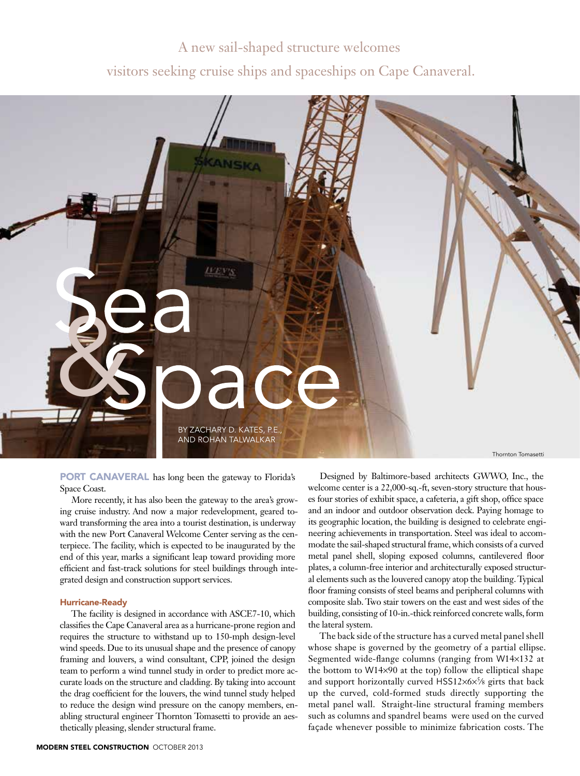# A new sail-shaped structure welcomes visitors seeking cruise ships and spaceships on Cape Canaveral.



PORT CANAVERAL has long been the gateway to Florida's Space Coast.

More recently, it has also been the gateway to the area's growing cruise industry. And now a major redevelopment, geared toward transforming the area into a tourist destination, is underway with the new Port Canaveral Welcome Center serving as the centerpiece. The facility, which is expected to be inaugurated by the end of this year, marks a significant leap toward providing more efficient and fast-track solutions for steel buildings through integrated design and construction support services.

## Hurricane-Ready

The facility is designed in accordance with ASCE7-10, which classifies the Cape Canaveral area as a hurricane-prone region and requires the structure to withstand up to 150-mph design-level wind speeds. Due to its unusual shape and the presence of canopy framing and louvers, a wind consultant, CPP, joined the design team to perform a wind tunnel study in order to predict more accurate loads on the structure and cladding. By taking into account the drag coefficient for the louvers, the wind tunnel study helped to reduce the design wind pressure on the canopy members, enabling structural engineer Thornton Tomasetti to provide an aesthetically pleasing, slender structural frame.

Designed by Baltimore-based architects GWWO, Inc., the welcome center is a 22,000-sq.-ft, seven-story structure that houses four stories of exhibit space, a cafeteria, a gift shop, office space and an indoor and outdoor observation deck. Paying homage to its geographic location, the building is designed to celebrate engineering achievements in transportation. Steel was ideal to accommodate the sail-shaped structural frame, which consists of a curved metal panel shell, sloping exposed columns, cantilevered floor plates, a column-free interior and architecturally exposed structural elements such as the louvered canopy atop the building. Typical floor framing consists of steel beams and peripheral columns with composite slab. Two stair towers on the east and west sides of the building, consisting of 10-in.-thick reinforced concrete walls, form the lateral system.

The back side of the structure has a curved metal panel shell whose shape is governed by the geometry of a partial ellipse. Segmented wide-flange columns (ranging from W14×132 at the bottom to W14×90 at the top) follow the elliptical shape and support horizontally curved HSS12×6×5∕8 girts that back up the curved, cold-formed studs directly supporting the metal panel wall. Straight-line structural framing members such as columns and spandrel beams were used on the curved façade whenever possible to minimize fabrication costs. The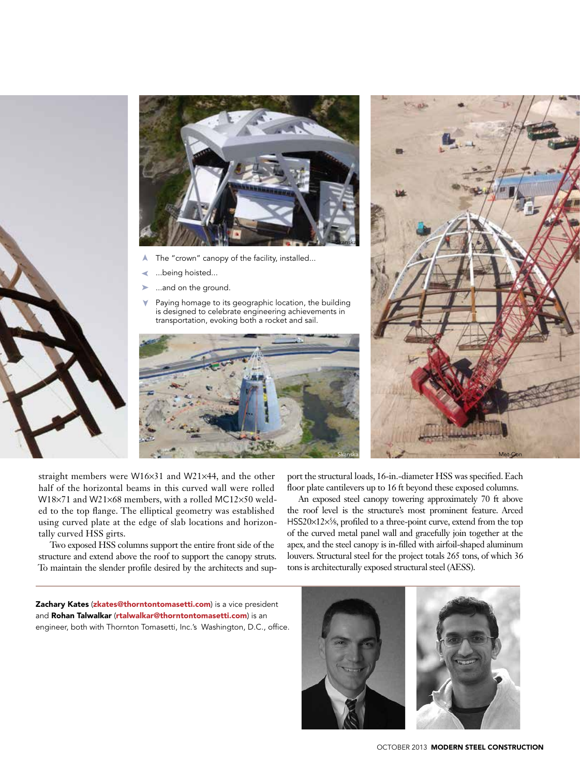



- ➤The "crown" canopy of the facility, installed...
- ➤ ...being hoisted...
- ➤ ...and on the ground.
- ➤ Paying homage to its geographic location, the building is designed to celebrate engineering achievements in transportation, evoking both a rocket and sail.





straight members were W16×31 and W21×44, and the other half of the horizontal beams in this curved wall were rolled W18×71 and W21×68 members, with a rolled MC12×50 welded to the top flange. The elliptical geometry was established using curved plate at the edge of slab locations and horizontally curved HSS girts.

Two exposed HSS columns support the entire front side of the structure and extend above the roof to support the canopy struts. To maintain the slender profile desired by the architects and sup-

port the structural loads, 16-in.-diameter HSS was specified. Each floor plate cantilevers up to 16 ft beyond these exposed columns.

An exposed steel canopy towering approximately 70 ft above the roof level is the structure's most prominent feature. Arced HSS20×12×<sup>5</sup>/<sub>8</sub>, profiled to a three-point curve, extend from the top of the curved metal panel wall and gracefully join together at the apex, and the steel canopy is in-filled with airfoil-shaped aluminum louvers. Structural steel for the project totals 265 tons, of which 36 tons is architecturally exposed structural steel (AESS).

Zachary Kates (zkates@thorntontomasetti.com) is a vice president and Rohan Talwalkar (rtalwalkar@thorntontomasetti.com) is an engineer, both with Thornton Tomasetti, Inc.'s Washington, D.C., office.



october 2013MODERN STEEL CONSTRUCTION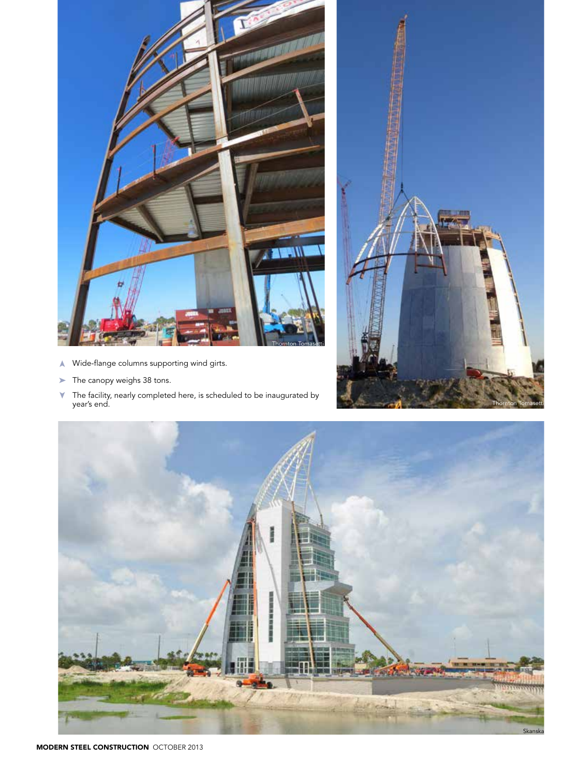

- ➤ Wide-flange columns supporting wind girts.
- The canopy weighs 38 tons. ➤
- The facility, nearly completed here, is scheduled to be inaugurated by year's end. ➤



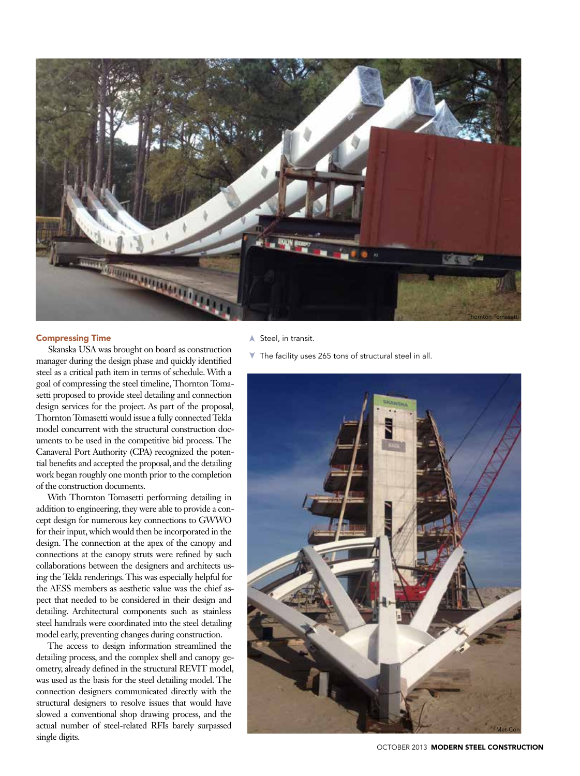

# Compressing Time

Skanska USA was brought on board as construction manager during the design phase and quickly identified steel as a critical path item in terms of schedule. With a goal of compressing the steel timeline, Thornton Tomasetti proposed to provide steel detailing and connection design services for the project. As part of the proposal, Thornton Tomasetti would issue a fully connected Tekla model concurrent with the structural construction documents to be used in the competitive bid process. The Canaveral Port Authority (CPA) recognized the potential benefits and accepted the proposal, and the detailing work began roughly one month prior to the completion of the construction documents.

With Thornton Tomasetti performing detailing in addition to engineering, they were able to provide a concept design for numerous key connections to GWWO for their input, which would then be incorporated in the design. The connection at the apex of the canopy and connections at the canopy struts were refined by such collaborations between the designers and architects using the Tekla renderings. This was especially helpful for the AESS members as aesthetic value was the chief aspect that needed to be considered in their design and detailing. Architectural components such as stainless steel handrails were coordinated into the steel detailing model early, preventing changes during construction.

The access to design information streamlined the detailing process, and the complex shell and canopy geometry, already defined in the structural REVIT model, was used as the basis for the steel detailing model. The connection designers communicated directly with the structural designers to resolve issues that would have slowed a conventional shop drawing process, and the actual number of steel-related RFIs barely surpassed single digits.

### ▲ Steel, in transit.

The facility uses 265 tons of structural steel in all. ➤



october 2013MODERN STEEL CONSTRUCTION